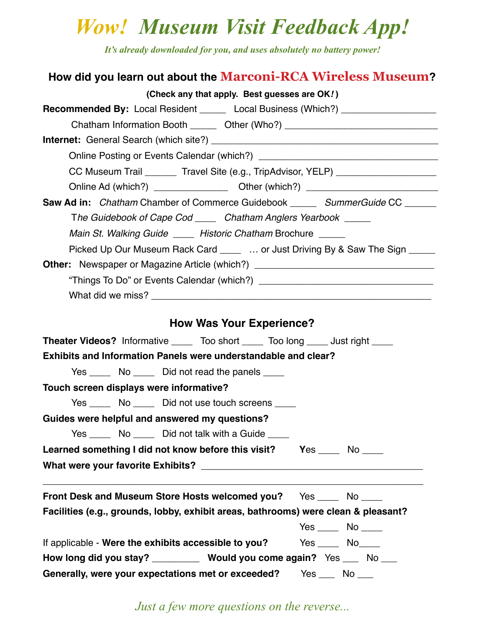## *Wow! Museum Visit Feedback App!*

*It's already downloaded for you, and uses absolutely no battery power!*

| How did you learn out about the Marconi-RCA Wireless Museum?                                                                                                                |
|-----------------------------------------------------------------------------------------------------------------------------------------------------------------------------|
| (Check any that apply. Best guesses are OK!)                                                                                                                                |
| <b>Recommended By:</b> Local Resident _______ Local Business (Which?) _________________<br>Chatham Information Booth ________ Other (Who?) ________________________________ |
|                                                                                                                                                                             |
|                                                                                                                                                                             |
| CC Museum Trail ________ Travel Site (e.g., TripAdvisor, YELP) _________________                                                                                            |
|                                                                                                                                                                             |
| <b>Saw Ad in:</b> Chatham Chamber of Commerce Guidebook ______ SummerGuide CC ______                                                                                        |
| The Guidebook of Cape Cod _____ Chatham Anglers Yearbook _____                                                                                                              |
| Main St. Walking Guide _____ Historic Chatham Brochure _____                                                                                                                |
| Picked Up Our Museum Rack Card _____  or Just Driving By & Saw The Sign _____                                                                                               |
| Other: Newspaper or Magazine Article (which?) __________________________________                                                                                            |
|                                                                                                                                                                             |
|                                                                                                                                                                             |
|                                                                                                                                                                             |
| <b>How Was Your Experience?</b>                                                                                                                                             |
| <b>Theater Videos?</b> Informative ______ Too short _____ Too long _____ Just right _____                                                                                   |
| <b>Exhibits and Information Panels were understandable and clear?</b>                                                                                                       |
| Yes _______ No _______ Did not read the panels _____                                                                                                                        |
| Touch screen displays were informative?                                                                                                                                     |
| Yes ________ No ________ Did not use touch screens _____                                                                                                                    |
| Guides were helpful and answered my questions?                                                                                                                              |
| Yes _________________________ Did not talk with a Guide ______                                                                                                              |
| Learned something I did not know before this visit? Yes _____ No ____                                                                                                       |
|                                                                                                                                                                             |
| Front Desk and Museum Store Hosts welcomed you? Yes ____ No ____                                                                                                            |
| Facilities (e.g., grounds, lobby, exhibit areas, bathrooms) were clean & pleasant?                                                                                          |
| $Yes$ No _____                                                                                                                                                              |
| If applicable - Were the exhibits accessible to you? Yes _____ No____                                                                                                       |
| How long did you stay? ___________ Would you come again? Yes ___ No ___                                                                                                     |
| Generally, were your expectations met or exceeded? Yes ___ No ___                                                                                                           |

*Just a few more questions on the reverse...*